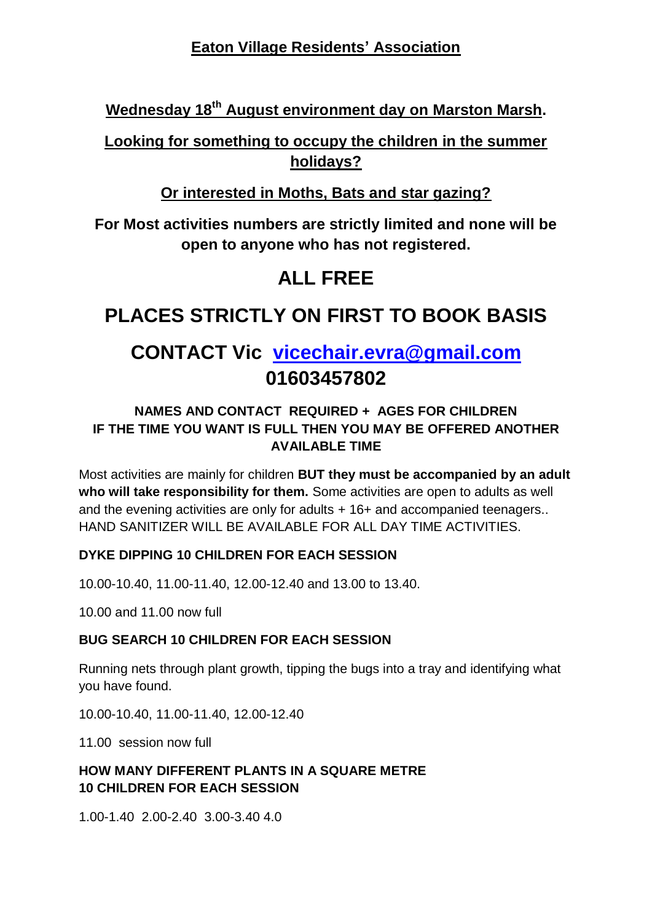## **Eaton Village Residents' Association**

**Wednesday 18th August environment day on Marston Marsh.**

## **Looking for something to occupy the children in the summer holidays?**

## **Or interested in Moths, Bats and star gazing?**

**For Most activities numbers are strictly limited and none will be open to anyone who has not registered.**

# **ALL FREE**

## **PLACES STRICTLY ON FIRST TO BOOK BASIS**

# **CONTACT Vic [vicechair.evra@gmail.com](mailto:vicechair.evra@gmail.com)  01603457802**

### **NAMES AND CONTACT REQUIRED + AGES FOR CHILDREN IF THE TIME YOU WANT IS FULL THEN YOU MAY BE OFFERED ANOTHER AVAILABLE TIME**

Most activities are mainly for children **BUT they must be accompanied by an adult who will take responsibility for them.** Some activities are open to adults as well and the evening activities are only for adults + 16+ and accompanied teenagers.. HAND SANITIZER WILL BE AVAILABLE FOR ALL DAY TIME ACTIVITIES.

### **DYKE DIPPING 10 CHILDREN FOR EACH SESSION**

10.00-10.40, 11.00-11.40, 12.00-12.40 and 13.00 to 13.40.

10.00 and 11.00 now full

### **BUG SEARCH 10 CHILDREN FOR EACH SESSION**

Running nets through plant growth, tipping the bugs into a tray and identifying what you have found.

10.00-10.40, 11.00-11.40, 12.00-12.40

11.00 session now full

#### **HOW MANY DIFFERENT PLANTS IN A SQUARE METRE 10 CHILDREN FOR EACH SESSION**

1.00-1.40 2.00-2.40 3.00-3.40 4.0